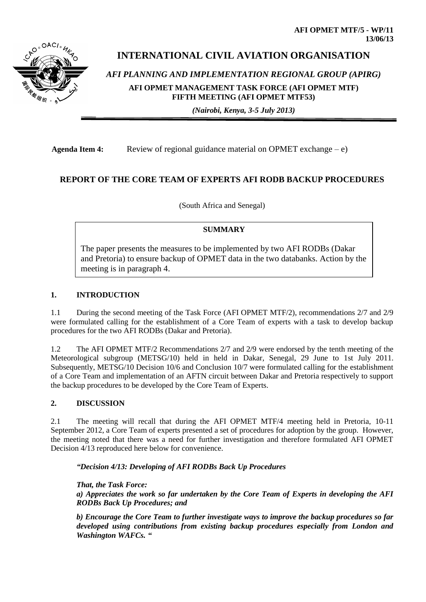# **INTERNATIONAL CIVIL AVIATION ORGANISATION**

*AFI PLANNING AND IMPLEMENTATION REGIONAL GROUP (APIRG)* **AFI OPMET MANAGEMENT TASK FORCE (AFI OPMET MTF) FIFTH MEETING (AFI OPMET MTF53)** 

*(Nairobi, Kenya, 3-5 July 2013)*

Agenda Item 4: Review of regional guidance material on OPMET exchange – e)

## **REPORT OF THE CORE TEAM OF EXPERTS AFI RODB BACKUP PROCEDURES**

(South Africa and Senegal)

## **SUMMARY**

The paper presents the measures to be implemented by two AFI RODBs (Dakar and Pretoria) to ensure backup of OPMET data in the two databanks. Action by the meeting is in paragraph 4.

## **1. INTRODUCTION**

1.1 During the second meeting of the Task Force (AFI OPMET MTF/2), recommendations 2/7 and 2/9 were formulated calling for the establishment of a Core Team of experts with a task to develop backup procedures for the two AFI RODBs (Dakar and Pretoria).

1.2 The AFI OPMET MTF/2 Recommendations 2/7 and 2/9 were endorsed by the tenth meeting of the Meteorological subgroup (METSG/10) held in held in Dakar, Senegal, 29 June to 1st July 2011. Subsequently, METSG/10 Decision 10/6 and Conclusion 10/7 were formulated calling for the establishment of a Core Team and implementation of an AFTN circuit between Dakar and Pretoria respectively to support the backup procedures to be developed by the Core Team of Experts.

#### **2. DISCUSSION**

2.1 The meeting will recall that during the AFI OPMET MTF/4 meeting held in Pretoria, 10-11 September 2012, a Core Team of experts presented a set of procedures for adoption by the group. However, the meeting noted that there was a need for further investigation and therefore formulated AFI OPMET Decision 4/13 reproduced here below for convenience.

*"Decision 4/13: Developing of AFI RODBs Back Up Procedures* 

*That, the Task Force:* 

*a) Appreciates the work so far undertaken by the Core Team of Experts in developing the AFI RODBs Back Up Procedures; and* 

*b) Encourage the Core Team to further investigate ways to improve the backup procedures so far developed using contributions from existing backup procedures especially from London and Washington WAFCs. "*